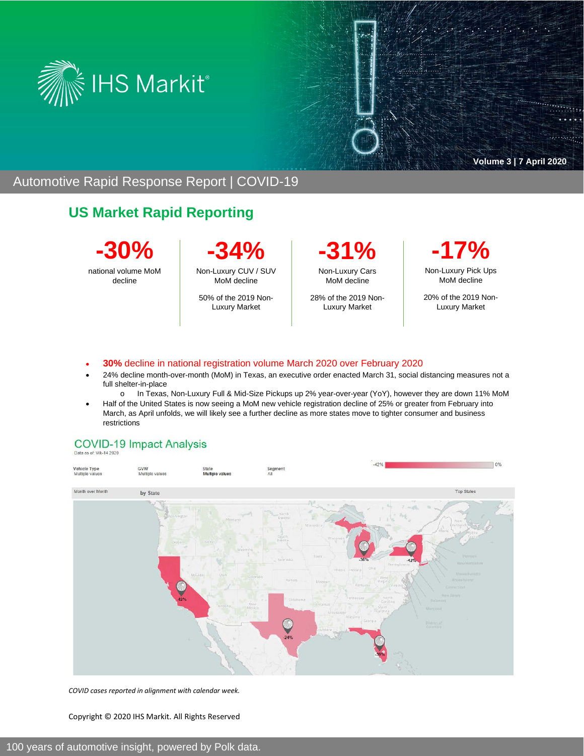



 $\overline{\cdots}$ 

### Automotive Rapid Response Report | COVID-19

# **US Market Rapid Reporting**

**-30%**  national volume MoM

decline

**-34%** Non-Luxury CUV / SUV

MoM decline 50% of the 2019 Non-Luxury Market

**-31%** Non-Luxury Cars MoM decline

28% of the 2019 Non-Luxury Market

**-17%** Non-Luxury Pick Ups MoM decline

20% of the 2019 Non-Luxury Market

- **30%** decline in national registration volume March 2020 over February 2020
- 24% decline month-over-month (MoM) in Texas, an executive order enacted March 31, social distancing measures not a full shelter-in-place
	- o In Texas, Non-Luxury Full & Mid-Size Pickups up 2% year-over-year (YoY), however they are down 11% MoM
- Half of the United States is now seeing a MoM new vehicle registration decline of 25% or greater from February into March, as April unfolds, we will likely see a further decline as more states move to tighter consumer and business restrictions

#### **COVID-19 Impact Analysis**



*COVID cases reported in alignment with calendar week.*

Copyright © 2020 IHS Markit. All Rights Reserved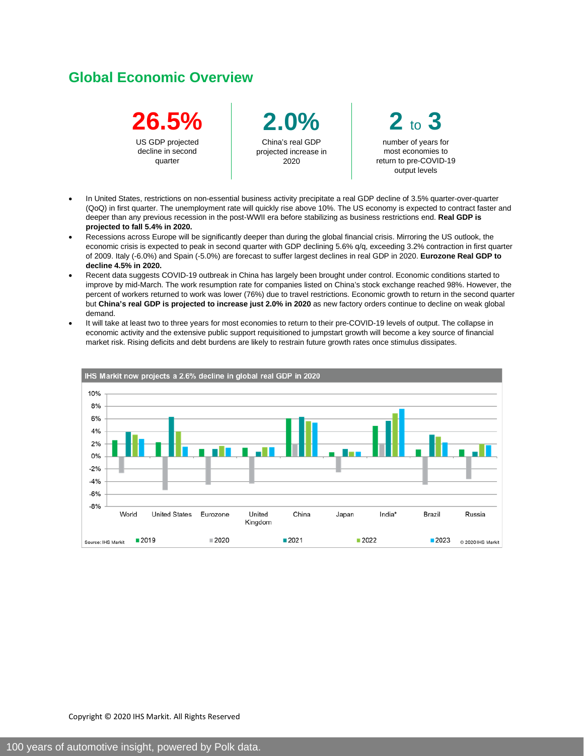### **Global Economic Overview**



**2.0%** China's real GDP projected increase in 2020



- In United States, restrictions on non-essential business activity precipitate a real GDP decline of 3.5% quarter-over-quarter (QoQ) in first quarter. The unemployment rate will quickly rise above 10%. The US economy is expected to contract faster and deeper than any previous recession in the post-WWII era before stabilizing as business restrictions end. **Real GDP is projected to fall 5.4% in 2020.**
- Recessions across Europe will be significantly deeper than during the global financial crisis. Mirroring the US outlook, the economic crisis is expected to peak in second quarter with GDP declining 5.6% q/q, exceeding 3.2% contraction in first quarter of 2009. Italy (-6.0%) and Spain (-5.0%) are forecast to suffer largest declines in real GDP in 2020. **Eurozone Real GDP to decline 4.5% in 2020.**
- Recent data suggests COVID-19 outbreak in China has largely been brought under control. Economic conditions started to improve by mid-March. The work resumption rate for companies listed on China's stock exchange reached 98%. However, the percent of workers returned to work was lower (76%) due to travel restrictions. Economic growth to return in the second quarter but **China's real GDP is projected to increase just 2.0% in 2020** as new factory orders continue to decline on weak global demand.
- It will take at least two to three years for most economies to return to their pre-COVID-19 levels of output. The collapse in economic activity and the extensive public support requisitioned to jumpstart growth will become a key source of financial market risk. Rising deficits and debt burdens are likely to restrain future growth rates once stimulus dissipates.